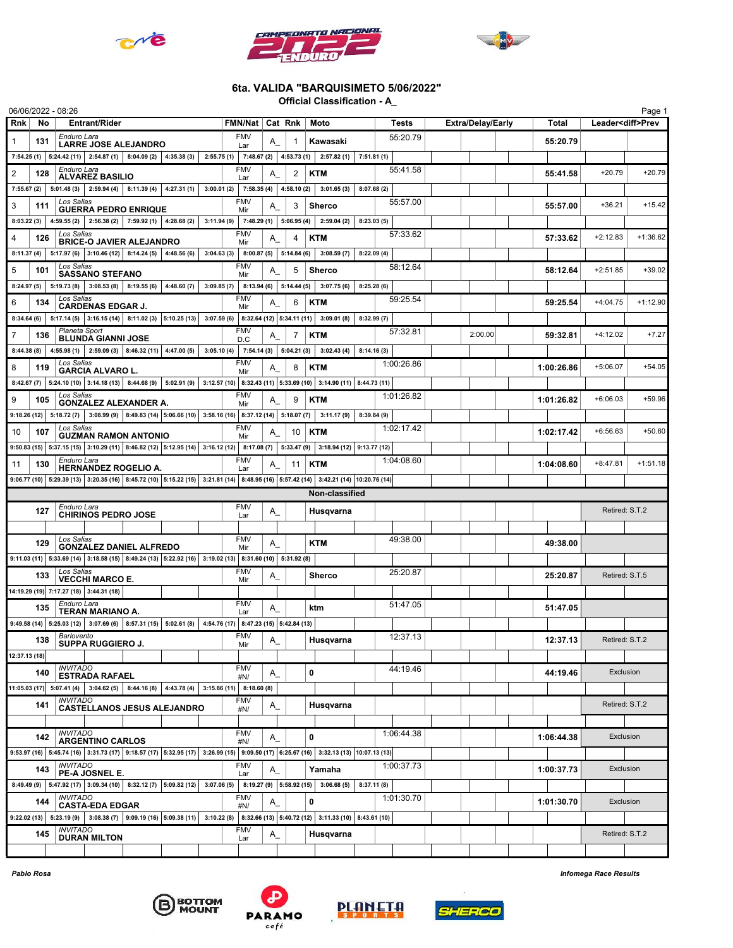





## 6ta. VALIDA "BARQUISIMETO 5/06/2022"

Official Classification - A\_

|                |     | 06/06/2022 - 08:26                                                                                                                   |                      |                                    |                          |          |    |                                                                                                                                                                        |            |            |                          |            |                          | Page 1     |
|----------------|-----|--------------------------------------------------------------------------------------------------------------------------------------|----------------------|------------------------------------|--------------------------|----------|----|------------------------------------------------------------------------------------------------------------------------------------------------------------------------|------------|------------|--------------------------|------------|--------------------------|------------|
| <b>Rnk</b>     | No. |                                                                                                                                      | <b>Entrant/Rider</b> |                                    | FMN/Nat   Cat Rnk   Moto |          |    |                                                                                                                                                                        |            | Tests      | <b>Extra/Delay/Early</b> | Total      | Leader <diff>Prev</diff> |            |
| $\mathbf{1}$   | 131 | Enduro Lara<br><b>LARRE JOSE ALEJANDRO</b>                                                                                           |                      |                                    | <b>FMV</b><br>Lar        | A        |    | Kawasaki                                                                                                                                                               |            | 55:20.79   |                          | 55:20.79   |                          |            |
|                |     | 7:54.25 (1)   5:24.42 (11)   2:54.87 (1)   8:04.09 (2)   4:35.38 (3)                                                                 |                      |                                    |                          |          |    | 2:55.75 (1) 7:48.67 (2) 4:53.73 (1) 2:57.82 (1)                                                                                                                        | 7:51.81(1) |            |                          |            |                          |            |
| $\overline{2}$ | 128 | Enduro Lara<br><b>ALVAREZ BASILIO</b>                                                                                                |                      |                                    | <b>FMV</b>               | A        | 2  | <b>KTM</b>                                                                                                                                                             |            | 55:41.58   |                          | 55:41.58   | $+20.79$                 | $+20.79$   |
| 7:55.67(2)     |     | $5:01.48(3)$ $2:59.94(4)$ 8:11.39(4) 4:27.31(1)                                                                                      |                      |                                    | Lar                      |          |    | $3:00.01(2)$ 7:58.35(4) 4:58.10(2) 3:01.65(3)                                                                                                                          | 8:07.68(2) |            |                          |            |                          |            |
| 3              | 111 | Los Salias                                                                                                                           |                      |                                    | <b>FMV</b>               | Α        | 3  | <b>Sherco</b>                                                                                                                                                          |            | 55:57.00   |                          | 55:57.00   | $+36.21$                 | $+15.42$   |
| 8:03.22(3)     |     | <b>GUERRA PEDRO ENRIQUE</b><br>4:59.55 (2) $\begin{array}{ c c c c c c c c } \hline \end{array}$ 2:56.38 (2) 7:59.92 (1) 4:28.68 (2) |                      |                                    | Mir                      |          |    | $3:11.94(9)$ 7:48.29(1) 5:06.95(4) 2:59.04(2)                                                                                                                          | 8:23.03(5) |            |                          |            |                          |            |
|                |     | Los Salias                                                                                                                           |                      |                                    | <b>FMV</b>               |          |    |                                                                                                                                                                        |            | 57:33.62   |                          |            |                          |            |
| 4              | 126 | <b>BRICE-O JAVIER ALEJANDRO</b>                                                                                                      |                      |                                    | Mir                      | A_       | 4  | <b>KTM</b>                                                                                                                                                             |            |            |                          | 57:33.62   | $+2:12.83$               | $+1:36.62$ |
| 8:11.37(4)     |     | $5:17.97(6)$ 3:10.46 (12) 8:14.24 (5) 4:48.56 (6)<br>Los Salias                                                                      |                      |                                    | <b>FMV</b>               |          |    | $3:04.63(3)$ 8:00.87(5) 5:14.84(6) 3:08.59(7)                                                                                                                          | 8:22.09(4) | 58:12.64   |                          |            |                          |            |
| 5              | 101 | <b>SASSANO STEFANO</b>                                                                                                               |                      |                                    | Mir                      | A        | 5  | <b>Sherco</b>                                                                                                                                                          |            |            |                          | 58:12.64   | $+2:51.85$               | $+39.02$   |
| 8:24.97(5)     |     | $5:19.73(8)$ 3:08.53(8) 8:19.55(6) 4:48.60(7)                                                                                        |                      |                                    |                          |          |    | $3:09.85(7)$ 8:13.94 (6) 5:14.44 (5) 3:07.75 (6)                                                                                                                       | 8:25.28(6) |            |                          |            |                          |            |
| 6              | 134 | Los Salias<br><b>CARDENAS EDGAR J.</b>                                                                                               |                      |                                    | <b>FMV</b><br>Mir        | A        | 6  | <b>KTM</b>                                                                                                                                                             |            | 59:25.54   |                          | 59:25.54   | $+4:04.75$               | $+1:12.90$ |
| 8:34.64(6)     |     | $5:17.14(5)$ 3:16.15 (14) 8:11.02 (3) 5:10.25 (13) 3:07.59 (6) 8:32.64 (12) 5:34.11 (11) 3:09.01 (8)                                 |                      |                                    |                          |          |    |                                                                                                                                                                        | 8:32.99(7) |            |                          |            |                          |            |
| $\overline{7}$ | 136 | Planeta Sport<br><b>BLUNDA GIANNI JOSE</b>                                                                                           |                      |                                    | <b>FMV</b><br>D.C        | A        | 7  | <b>KTM</b>                                                                                                                                                             |            | 57:32.81   | 2:00.00                  | 59:32.81   | $+4:12.02$               | $+7.27$    |
| 8:44.38(8)     |     | 4:55.98 (1) 2:59.09 (3) 8:46.32 (11) 4:47.00 (5)                                                                                     |                      |                                    |                          |          |    | $3:05.10(4)$ 7:54.14 (3) 5:04.21 (3) 3:02.43 (4)                                                                                                                       | 8:14.16(3) |            |                          |            |                          |            |
| 8              | 119 | Los Salias<br><b>GARCIA ALVARO L.</b>                                                                                                |                      |                                    | <b>FMV</b><br>Mir        | A        | 8  | <b>KTM</b>                                                                                                                                                             |            | 1:00:26.86 |                          | 1:00:26.86 | $+5:06.07$               | $+54.05$   |
|                |     |                                                                                                                                      |                      |                                    |                          |          |    | 8:42.67 (7) 5:24.10 (10) 3:14.18 (13) 8:44.68 (9) 5:02.91 (9) 3:12.57 (10) 8:32.43 (11) 5:33.69 (10) 3:14.90 (11) 8:44.73 (11)                                         |            |            |                          |            |                          |            |
| 9              | 105 | Los Salias                                                                                                                           |                      |                                    | <b>FMV</b>               | Α        | 9  | <b>KTM</b>                                                                                                                                                             |            | 1:01:26.82 |                          | 1:01:26.82 | $+6:06.03$               | $+59.96$   |
|                |     | <b>GONZALEZ ALEXANDER A.</b>                                                                                                         |                      |                                    | Mir                      |          |    | 9:18.26 (12) 5:18.72 (7) 3:08.99 (9) 8:49.83 (14) 5:06.66 (10) 3:58.16 (16) 8:37.12 (14) 5:18.07 (7) 3:11.17 (9)                                                       | 8:39.84(9) |            |                          |            |                          |            |
| 10             | 107 | Los Salias                                                                                                                           |                      |                                    | <b>FMV</b>               | A        | 10 | <b>KTM</b>                                                                                                                                                             |            | 1:02:17.42 |                          | 1:02:17.42 | $+6:56.63$               | $+50.60$   |
|                |     | <b>GUZMAN RAMON ANTONIO</b>                                                                                                          |                      |                                    | Mir                      |          |    | 9:50.83 (15) 5:37.15 (15) 3:10.29 (11) 8:46.82 (12) 5:12.95 (14) 3:16.12 (12) 8:17.08 (7) 5:33.47 (9) 3:18.94 (12) 9:13.77 (12)                                        |            |            |                          |            |                          |            |
|                |     | Enduro Lara                                                                                                                          |                      |                                    | <b>FMV</b>               |          |    |                                                                                                                                                                        |            | 1:04:08.60 |                          |            |                          |            |
| 11             | 130 | <b>HERNANDEZ ROGELIO A.</b>                                                                                                          |                      |                                    | Lar                      | A        | 11 | <b>KTM</b>                                                                                                                                                             |            |            |                          | 1:04:08.60 | $+8:47.81$               | $+1:51.18$ |
|                |     |                                                                                                                                      |                      |                                    |                          |          |    | 9:06.77 (10)   5:29.39 (13)   3:20.35 (16)   8:45.72 (10)   5:15.22 (15)   3:21.81 (14)   8:48.95 (16)   5:57.42 (14)   3:42.21 (14)   10:20.76 (14)<br>Non-classified |            |            |                          |            |                          |            |
|                |     | Enduro Lara                                                                                                                          |                      |                                    | <b>FMV</b>               |          |    |                                                                                                                                                                        |            |            |                          |            |                          |            |
|                | 127 | <b>CHIRINOS PEDRO JOSE</b>                                                                                                           |                      |                                    | Lar                      | A_       |    | Husqvarna                                                                                                                                                              |            |            |                          |            | Retired: S.T.2           |            |
|                |     | Los Salias                                                                                                                           |                      |                                    | <b>FMV</b>               |          |    |                                                                                                                                                                        |            | 49:38.00   |                          |            |                          |            |
|                | 129 | <b>GONZALEZ DANIEL ALFREDO</b>                                                                                                       |                      |                                    | Mir                      | A        |    | <b>KTM</b>                                                                                                                                                             |            |            |                          | 49:38.00   |                          |            |
|                |     | 9:11.03 (11) 5:33.69 (14) 3:18.58 (15) 8:49.24 (13) 5:22.92 (16) 3:19.02 (13) 8:31.60 (10) 5:31.92 (8)                               |                      |                                    |                          |          |    |                                                                                                                                                                        |            |            |                          |            |                          |            |
|                | 133 | Los Salias<br><b>VECCHI MARCO E.</b>                                                                                                 |                      |                                    | <b>FMV</b><br>Mir        | $A_{-}$  |    | <b>Sherco</b>                                                                                                                                                          |            | 25:20.87   |                          | 25:20.87   | Retired: S.T.5           |            |
|                |     | 14:19.29 (19) 7:17.27 (18) 3:44.31 (18)                                                                                              |                      |                                    |                          |          |    |                                                                                                                                                                        |            |            |                          |            |                          |            |
|                | 135 | Enduro Lara<br><b>TERAN MARIANO A.</b>                                                                                               |                      |                                    | <b>FMV</b><br>Lar        | A        |    | ktm                                                                                                                                                                    |            | 51:47.05   |                          | 51:47.05   |                          |            |
|                |     | 9:49.58 (14)   5:25.03 (12)   3:07.69 (6)   8:57.31 (15)   5:02.61 (8)   4:54.76 (17)   8:47.23 (15)   5:42.84 (13)                  |                      |                                    |                          |          |    |                                                                                                                                                                        |            |            |                          |            |                          |            |
|                | 138 | Barlovento<br>SUPPA RUGGIERO J.                                                                                                      |                      |                                    | <b>FMV</b><br>Mir        | Α        |    | Husavarna                                                                                                                                                              |            | 12:37.13   |                          | 12:37.13   | Retired: S.T.2           |            |
| 12:37.13 (18)  |     |                                                                                                                                      |                      |                                    |                          |          |    |                                                                                                                                                                        |            |            |                          |            |                          |            |
|                | 140 | <b>INVITADO</b><br><b>ESTRADA RAFAEL</b>                                                                                             |                      |                                    | <b>FMV</b>               | $A_{-}$  |    | 0                                                                                                                                                                      |            | 44:19.46   |                          | 44:19.46   | Exclusion                |            |
| 11:05.03(17)   |     | $5:07.41(4)$ 3:04.62(5) 8:44.16(8) 4:43.78(4) 3:15.86(11) 8:18.60(8)                                                                 |                      |                                    | #N/                      |          |    |                                                                                                                                                                        |            |            |                          |            |                          |            |
|                | 141 | <b>INVITADO</b>                                                                                                                      |                      |                                    | <b>FMV</b>               | $A_{-}$  |    | Husqvarna                                                                                                                                                              |            |            |                          |            | Retired: S.T.2           |            |
|                |     |                                                                                                                                      |                      | <b>CASTELLANOS JESUS ALEJANDRO</b> | #N/                      |          |    |                                                                                                                                                                        |            |            |                          |            |                          |            |
|                |     | <b>INVITADO</b>                                                                                                                      |                      |                                    | <b>FMV</b>               |          |    |                                                                                                                                                                        |            | 1:06:44.38 |                          |            |                          |            |
|                | 142 | <b>ARGENTINO CARLOS</b>                                                                                                              |                      |                                    | #N/                      | A        |    | $\mathbf{0}$                                                                                                                                                           |            |            |                          | 1:06:44.38 | Exclusion                |            |
|                |     | <b>INVITADO</b>                                                                                                                      |                      |                                    | <b>FMV</b>               |          |    | 9:53.97 (16) 5:45.74 (16) 3:31.73 (17) 9:18.57 (17) 5:32.95 (17) 3:26.99 (15) 9:09.50 (17) 6:25.67 (16) 3:32.13 (13) 10:07.13 (13)                                     |            | 1:00:37.73 |                          |            |                          |            |
|                | 143 | PE-A JOSNEL E.                                                                                                                       |                      |                                    | Lar                      | A_       |    | Yamaha                                                                                                                                                                 |            |            |                          | 1:00:37.73 | Exclusion                |            |
|                |     | 8:49.49 (9) 5:47.92 (17) 3:09.34 (10) 8:32.12 (7) 5:09.82 (12)                                                                       |                      |                                    |                          |          |    | $3:07.06(5)$ 8:19.27(9) 5:58.92(15) 3:06.68(5)                                                                                                                         | 8:37.11(8) |            |                          |            |                          |            |
|                | 144 | <b>INVITADO</b><br><b>CASTA-EDA EDGAR</b>                                                                                            |                      |                                    | <b>FMV</b><br>#N/        | $A_{-}$  |    | $\mathbf{0}$                                                                                                                                                           |            | 1:01:30.70 |                          | 1:01:30.70 | Exclusion                |            |
| 9:22.02(13)    |     | $5:23.19(9)$ 3:08.38 (7) 9:09.19 (16) 5:09.38 (11)                                                                                   |                      |                                    |                          |          |    | 3:10.22 (8) 8:32.66 (13) 5:40.72 (12) 3:11.33 (10) 8:43.61 (10)                                                                                                        |            |            |                          |            |                          |            |
|                | 145 | <b>INVITADO</b><br><b>DURAN MILTON</b>                                                                                               |                      |                                    | <b>FMV</b><br>Lar        | $A_{\_}$ |    | Husqvarna                                                                                                                                                              |            |            |                          |            | Retired: S.T.2           |            |
|                |     |                                                                                                                                      |                      |                                    |                          |          |    |                                                                                                                                                                        |            |            |                          |            |                          |            |







**PLANETA** 

Pablo Rosa Infomega Race Results